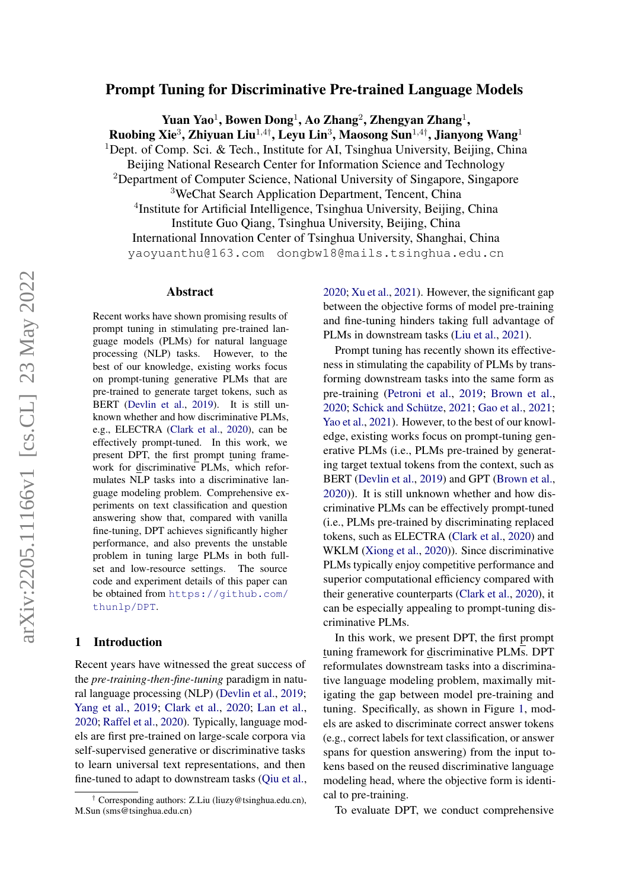# Prompt Tuning for Discriminative Pre-trained Language Models

Yuan Yao<sup>1</sup>, Bowen Dong<sup>1</sup>, Ao Zhang<sup>2</sup>, Zhengyan Zhang<sup>1</sup>, Ruobing Xie $^3$ , Zhiyuan Liu $^{1,4\dagger}$ , Leyu Lin $^3$ , Maosong Sun $^{1,4\dagger}$ , Jianyong Wang $^1$ <sup>1</sup>Dept. of Comp. Sci. & Tech., Institute for AI, Tsinghua University, Beijing, China Beijing National Research Center for Information Science and Technology <sup>2</sup>Department of Computer Science, National University of Singapore, Singapore <sup>3</sup>WeChat Search Application Department, Tencent, China <sup>4</sup>Institute for Artificial Intelligence, Tsinghua University, Beijing, China Institute Guo Qiang, Tsinghua University, Beijing, China International Innovation Center of Tsinghua University, Shanghai, China yaoyuanthu@163.com dongbw18@mails.tsinghua.edu.cn

#### Abstract

Recent works have shown promising results of prompt tuning in stimulating pre-trained language models (PLMs) for natural language processing (NLP) tasks. However, to the best of our knowledge, existing works focus on prompt-tuning generative PLMs that are pre-trained to generate target tokens, such as BERT [\(Devlin et al.,](#page-4-0) [2019\)](#page-4-0). It is still unknown whether and how discriminative PLMs, e.g., ELECTRA [\(Clark et al.,](#page-4-1) [2020\)](#page-4-1), can be effectively prompt-tuned. In this work, we present DPT, the first prompt tuning framework for discriminative PLMs, which reformulates NLP tasks into a discriminative language modeling problem. Comprehensive experiments on text classification and question answering show that, compared with vanilla fine-tuning, DPT achieves significantly higher performance, and also prevents the unstable problem in tuning large PLMs in both fullset and low-resource settings. The source code and experiment details of this paper can be obtained from [https://github.com/](https://github.com/thunlp/DPT) [thunlp/DPT](https://github.com/thunlp/DPT).

#### 1 Introduction

Recent years have witnessed the great success of the *pre-training-then-fine-tuning* paradigm in natural language processing (NLP) [\(Devlin et al.,](#page-4-0) [2019;](#page-4-0) [Yang et al.,](#page-5-0) [2019;](#page-5-0) [Clark et al.,](#page-4-1) [2020;](#page-4-1) [Lan et al.,](#page-4-2) [2020;](#page-4-2) [Raffel et al.,](#page-4-3) [2020\)](#page-4-3). Typically, language models are first pre-trained on large-scale corpora via self-supervised generative or discriminative tasks to learn universal text representations, and then fine-tuned to adapt to downstream tasks [\(Qiu et al.,](#page-4-4)

[2020;](#page-4-4) [Xu et al.,](#page-5-1) [2021\)](#page-5-1). However, the significant gap between the objective forms of model pre-training and fine-tuning hinders taking full advantage of PLMs in downstream tasks [\(Liu et al.,](#page-4-5) [2021\)](#page-4-5).

Prompt tuning has recently shown its effectiveness in stimulating the capability of PLMs by transforming downstream tasks into the same form as pre-training [\(Petroni et al.,](#page-4-6) [2019;](#page-4-6) [Brown et al.,](#page-4-7) [2020;](#page-4-7) [Schick and Schütze,](#page-4-8) [2021;](#page-4-8) [Gao et al.,](#page-4-9) [2021;](#page-4-9) [Yao et al.,](#page-5-2) [2021\)](#page-5-2). However, to the best of our knowledge, existing works focus on prompt-tuning generative PLMs (i.e., PLMs pre-trained by generating target textual tokens from the context, such as BERT [\(Devlin et al.,](#page-4-0) [2019\)](#page-4-0) and GPT [\(Brown et al.,](#page-4-7) [2020\)](#page-4-7)). It is still unknown whether and how discriminative PLMs can be effectively prompt-tuned (i.e., PLMs pre-trained by discriminating replaced tokens, such as ELECTRA [\(Clark et al.,](#page-4-1) [2020\)](#page-4-1) and WKLM [\(Xiong et al.,](#page-5-3) [2020\)](#page-5-3)). Since discriminative PLMs typically enjoy competitive performance and superior computational efficiency compared with their generative counterparts [\(Clark et al.,](#page-4-1) [2020\)](#page-4-1), it can be especially appealing to prompt-tuning discriminative PLMs.

In this work, we present DPT, the first prompt tuning framework for discriminative PLMs. DPT reformulates downstream tasks into a discriminative language modeling problem, maximally mitigating the gap between model pre-training and tuning. Specifically, as shown in Figure [1,](#page-1-0) models are asked to discriminate correct answer tokens (e.g., correct labels for text classification, or answer spans for question answering) from the input tokens based on the reused discriminative language modeling head, where the objective form is identical to pre-training.

To evaluate DPT, we conduct comprehensive

<sup>†</sup> Corresponding authors: Z.Liu (liuzy@tsinghua.edu.cn), M.Sun (sms@tsinghua.edu.cn)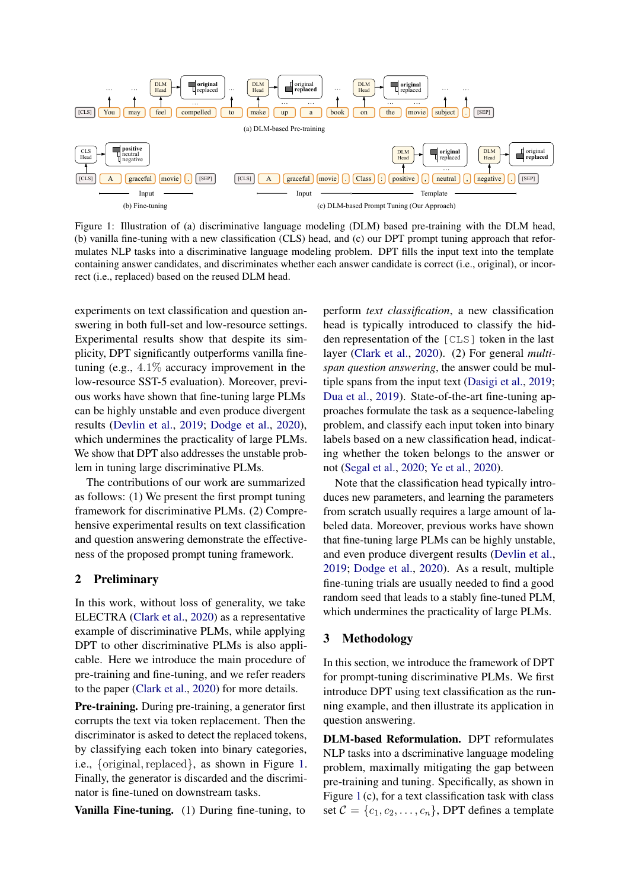<span id="page-1-0"></span>

Figure 1: Illustration of (a) discriminative language modeling (DLM) based pre-training with the DLM head, (b) vanilla fine-tuning with a new classification (CLS) head, and (c) our DPT prompt tuning approach that reformulates NLP tasks into a discriminative language modeling problem. DPT fills the input text into the template containing answer candidates, and discriminates whether each answer candidate is correct (i.e., original), or incorrect (i.e., replaced) based on the reused DLM head.

experiments on text classification and question answering in both full-set and low-resource settings. Experimental results show that despite its simplicity, DPT significantly outperforms vanilla finetuning (e.g.,  $4.1\%$  accuracy improvement in the low-resource SST-5 evaluation). Moreover, previous works have shown that fine-tuning large PLMs can be highly unstable and even produce divergent results [\(Devlin et al.,](#page-4-0) [2019;](#page-4-0) [Dodge et al.,](#page-4-10) [2020\)](#page-4-10), which undermines the practicality of large PLMs. We show that DPT also addresses the unstable problem in tuning large discriminative PLMs.

The contributions of our work are summarized as follows: (1) We present the first prompt tuning framework for discriminative PLMs. (2) Comprehensive experimental results on text classification and question answering demonstrate the effectiveness of the proposed prompt tuning framework.

### 2 Preliminary

In this work, without loss of generality, we take ELECTRA [\(Clark et al.,](#page-4-1) [2020\)](#page-4-1) as a representative example of discriminative PLMs, while applying DPT to other discriminative PLMs is also applicable. Here we introduce the main procedure of pre-training and fine-tuning, and we refer readers to the paper [\(Clark et al.,](#page-4-1) [2020\)](#page-4-1) for more details.

Pre-training. During pre-training, a generator first corrupts the text via token replacement. Then the discriminator is asked to detect the replaced tokens, by classifying each token into binary categories, i.e., {original, replaced}, as shown in Figure [1.](#page-1-0) Finally, the generator is discarded and the discriminator is fine-tuned on downstream tasks.

Vanilla Fine-tuning. (1) During fine-tuning, to

perform *text classification*, a new classification head is typically introduced to classify the hidden representation of the [CLS] token in the last layer [\(Clark et al.,](#page-4-1) [2020\)](#page-4-1). (2) For general *multispan question answering*, the answer could be multiple spans from the input text [\(Dasigi et al.,](#page-4-11) [2019;](#page-4-11) [Dua et al.,](#page-4-12) [2019\)](#page-4-12). State-of-the-art fine-tuning approaches formulate the task as a sequence-labeling problem, and classify each input token into binary labels based on a new classification head, indicating whether the token belongs to the answer or not [\(Segal et al.,](#page-4-13) [2020;](#page-4-13) [Ye et al.,](#page-5-4) [2020\)](#page-5-4).

Note that the classification head typically introduces new parameters, and learning the parameters from scratch usually requires a large amount of labeled data. Moreover, previous works have shown that fine-tuning large PLMs can be highly unstable, and even produce divergent results [\(Devlin et al.,](#page-4-0) [2019;](#page-4-0) [Dodge et al.,](#page-4-10) [2020\)](#page-4-10). As a result, multiple fine-tuning trials are usually needed to find a good random seed that leads to a stably fine-tuned PLM, which undermines the practicality of large PLMs.

#### 3 Methodology

In this section, we introduce the framework of DPT for prompt-tuning discriminative PLMs. We first introduce DPT using text classification as the running example, and then illustrate its application in question answering.

DLM-based Reformulation. DPT reformulates NLP tasks into a dscriminative language modeling problem, maximally mitigating the gap between pre-training and tuning. Specifically, as shown in Figure [1](#page-1-0) (c), for a text classification task with class set  $C = \{c_1, c_2, \ldots, c_n\}$ , DPT defines a template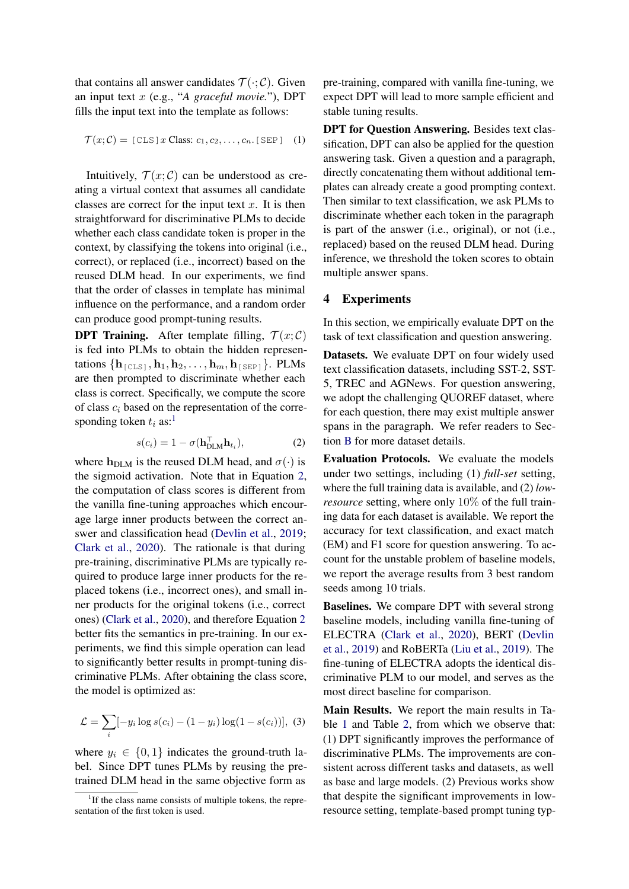that contains all answer candidates  $\mathcal{T}(\cdot;\mathcal{C})$ . Given an input text x (e.g., "*A graceful movie.*"), DPT fills the input text into the template as follows:

$$
\mathcal{T}(x; \mathcal{C}) = [\text{CLS}] \, x \, \text{Class: } c_1, c_2, \dots, c_n. \, [\text{SEP}] \quad (1)
$$

Intuitively,  $\mathcal{T}(x;\mathcal{C})$  can be understood as creating a virtual context that assumes all candidate classes are correct for the input text  $x$ . It is then straightforward for discriminative PLMs to decide whether each class candidate token is proper in the context, by classifying the tokens into original (i.e., correct), or replaced (i.e., incorrect) based on the reused DLM head. In our experiments, we find that the order of classes in template has minimal influence on the performance, and a random order can produce good prompt-tuning results.

**DPT Training.** After template filling,  $\mathcal{T}(x; \mathcal{C})$ is fed into PLMs to obtain the hidden representations  $\{h_{\text{[CLS]}}, h_1, h_2, \ldots, h_m, h_{\text{[SEP]}}\}.$  PLMs are then prompted to discriminate whether each class is correct. Specifically, we compute the score of class  $c_i$  based on the representation of the corresponding token  $t_i$  as:<sup>[1](#page-2-0)</sup>

$$
s(c_i) = 1 - \sigma(\mathbf{h}_{\text{DLM}}^\top \mathbf{h}_{t_i}), \tag{2}
$$

<span id="page-2-1"></span>where  $h_{\text{DLM}}$  is the reused DLM head, and  $\sigma(\cdot)$  is the sigmoid activation. Note that in Equation [2,](#page-2-1) the computation of class scores is different from the vanilla fine-tuning approaches which encourage large inner products between the correct answer and classification head [\(Devlin et al.,](#page-4-0) [2019;](#page-4-0) [Clark et al.,](#page-4-1) [2020\)](#page-4-1). The rationale is that during pre-training, discriminative PLMs are typically required to produce large inner products for the replaced tokens (i.e., incorrect ones), and small inner products for the original tokens (i.e., correct ones) [\(Clark et al.,](#page-4-1) [2020\)](#page-4-1), and therefore Equation [2](#page-2-1) better fits the semantics in pre-training. In our experiments, we find this simple operation can lead to significantly better results in prompt-tuning discriminative PLMs. After obtaining the class score, the model is optimized as:

$$
\mathcal{L} = \sum_{i} [-y_i \log s(c_i) - (1 - y_i) \log(1 - s(c_i))], (3)
$$

where  $y_i \in \{0, 1\}$  indicates the ground-truth label. Since DPT tunes PLMs by reusing the pretrained DLM head in the same objective form as

pre-training, compared with vanilla fine-tuning, we expect DPT will lead to more sample efficient and stable tuning results.

DPT for Question Answering. Besides text classification, DPT can also be applied for the question answering task. Given a question and a paragraph, directly concatenating them without additional templates can already create a good prompting context. Then similar to text classification, we ask PLMs to discriminate whether each token in the paragraph is part of the answer (i.e., original), or not (i.e., replaced) based on the reused DLM head. During inference, we threshold the token scores to obtain multiple answer spans.

# 4 Experiments

In this section, we empirically evaluate DPT on the task of text classification and question answering.

Datasets. We evaluate DPT on four widely used text classification datasets, including SST-2, SST-5, TREC and AGNews. For question answering, we adopt the challenging QUOREF dataset, where for each question, there may exist multiple answer spans in the paragraph. We refer readers to Section [B](#page-5-5) for more dataset details.

Evaluation Protocols. We evaluate the models under two settings, including (1) *full-set* setting, where the full training data is available, and (2) *lowresource* setting, where only 10% of the full training data for each dataset is available. We report the accuracy for text classification, and exact match (EM) and F1 score for question answering. To account for the unstable problem of baseline models, we report the average results from 3 best random seeds among 10 trials.

Baselines. We compare DPT with several strong baseline models, including vanilla fine-tuning of ELECTRA [\(Clark et al.,](#page-4-1) [2020\)](#page-4-1), BERT [\(Devlin](#page-4-0) [et al.,](#page-4-0) [2019\)](#page-4-0) and RoBERTa [\(Liu et al.,](#page-4-14) [2019\)](#page-4-14). The fine-tuning of ELECTRA adopts the identical discriminative PLM to our model, and serves as the most direct baseline for comparison.

Main Results. We report the main results in Table [1](#page-3-0) and Table [2,](#page-3-1) from which we observe that: (1) DPT significantly improves the performance of discriminative PLMs. The improvements are consistent across different tasks and datasets, as well as base and large models. (2) Previous works show that despite the significant improvements in lowresource setting, template-based prompt tuning typ-

<span id="page-2-0"></span><sup>&</sup>lt;sup>1</sup>If the class name consists of multiple tokens, the representation of the first token is used.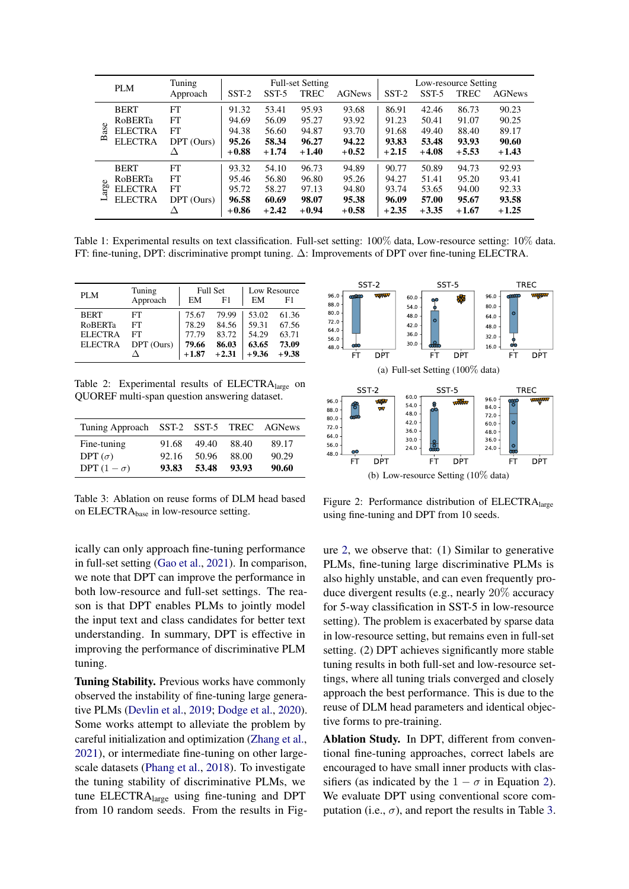<span id="page-3-0"></span>

|                        | PLM            | Tuning     | <b>Full-set Setting</b> |         |             | Low-resource Setting |         |         |             |               |
|------------------------|----------------|------------|-------------------------|---------|-------------|----------------------|---------|---------|-------------|---------------|
|                        |                | Approach   | $SST-2$                 | $SST-5$ | <b>TREC</b> | <b>AGNews</b>        | $SST-2$ | $SST-5$ | <b>TREC</b> | <b>AGNews</b> |
| ā<br>$\mathbf{\Omega}$ | <b>BERT</b>    | FT         | 91.32                   | 53.41   | 95.93       | 93.68                | 86.91   | 42.46   | 86.73       | 90.23         |
|                        | RoBERTa        | FT         | 94.69                   | 56.09   | 95.27       | 93.92                | 91.23   | 50.41   | 91.07       | 90.25         |
|                        | <b>ELECTRA</b> | FT         | 94.38                   | 56.60   | 94.87       | 93.70                | 91.68   | 49.40   | 88.40       | 89.17         |
|                        | <b>ELECTRA</b> | DPT (Ours) | 95.26                   | 58.34   | 96.27       | 94.22                | 93.83   | 53.48   | 93.93       | 90.60         |
|                        |                | Δ          | $+0.88$                 | $+1.74$ | $+1.40$     | $+0.52$              | $+2.15$ | $+4.08$ | $+5.53$     | $+1.43$       |
| Φ<br>en<br>1<br>⊣      | <b>BERT</b>    | FT         | 93.32                   | 54.10   | 96.73       | 94.89                | 90.77   | 50.89   | 94.73       | 92.93         |
|                        | <b>RoBERTa</b> | FT         | 95.46                   | 56.80   | 96.80       | 95.26                | 94.27   | 51.41   | 95.20       | 93.41         |
|                        | <b>ELECTRA</b> | FT         | 95.72                   | 58.27   | 97.13       | 94.80                | 93.74   | 53.65   | 94.00       | 92.33         |
|                        | <b>ELECTRA</b> | DPT (Ours) | 96.58                   | 60.69   | 98.07       | 95.38                | 96.09   | 57.00   | 95.67       | 93.58         |
|                        |                |            | $+0.86$                 | $+2.42$ | $+0.94$     | $+0.58$              | $+2.35$ | $+3.35$ | $+1.67$     | $+1.25$       |

Table 1: Experimental results on text classification. Full-set setting: 100% data, Low-resource setting: 10% data. FT: fine-tuning, DPT: discriminative prompt tuning. ∆: Improvements of DPT over fine-tuning ELECTRA.

<span id="page-3-1"></span>

| PLM            | Tuning     |         | <b>Full Set</b> | Low Resource |         |  |
|----------------|------------|---------|-----------------|--------------|---------|--|
|                | Approach   | EM      | F1              | EM           | F1      |  |
| <b>BERT</b>    | FT         | 75.67   | 79.99           | 53.02        | 61.36   |  |
| <b>RoBERTa</b> | FT         | 78.29   | 84.56           | 59.31        | 67.56   |  |
| <b>ELECTRA</b> | FT         | 77.79   | 83.72           | 54.29        | 63.71   |  |
| <b>ELECTRA</b> | DPT (Ours) | 79.66   | 86.03           | 63.65        | 73.09   |  |
|                |            | $+1.87$ | $+2.31$         | $+9.36$      | $+9.38$ |  |

Table 2: Experimental results of ELECTRAlarge on QUOREF multi-span question answering dataset.

<span id="page-3-3"></span>

| Tuning Approach SST-2 SST-5 TREC AGNews |       |       |       |       |
|-----------------------------------------|-------|-------|-------|-------|
| Fine-tuning                             | 91.68 | 49.40 | 88.40 | 89.17 |
| DPT $(\sigma)$                          | 92.16 | 50.96 | 88.00 | 90.29 |
| DPT $(1 - \sigma)$                      | 93.83 | 53.48 | 93.93 | 90.60 |

Table 3: Ablation on reuse forms of DLM head based on ELECTRAbase in low-resource setting.

ically can only approach fine-tuning performance in full-set setting [\(Gao et al.,](#page-4-9) [2021\)](#page-4-9). In comparison, we note that DPT can improve the performance in both low-resource and full-set settings. The reason is that DPT enables PLMs to jointly model the input text and class candidates for better text understanding. In summary, DPT is effective in improving the performance of discriminative PLM tuning.

Tuning Stability. Previous works have commonly observed the instability of fine-tuning large generative PLMs [\(Devlin et al.,](#page-4-0) [2019;](#page-4-0) [Dodge et al.,](#page-4-10) [2020\)](#page-4-10). Some works attempt to alleviate the problem by careful initialization and optimization [\(Zhang et al.,](#page-5-6) [2021\)](#page-5-6), or intermediate fine-tuning on other largescale datasets [\(Phang et al.,](#page-4-15) [2018\)](#page-4-15). To investigate the tuning stability of discriminative PLMs, we tune ELECTRAlarge using fine-tuning and DPT from 10 random seeds. From the results in Fig-

<span id="page-3-2"></span>

Figure 2: Performance distribution of ELECTRAlarge using fine-tuning and DPT from 10 seeds.

ure [2,](#page-3-2) we observe that: (1) Similar to generative PLMs, fine-tuning large discriminative PLMs is also highly unstable, and can even frequently produce divergent results (e.g., nearly 20% accuracy for 5-way classification in SST-5 in low-resource setting). The problem is exacerbated by sparse data in low-resource setting, but remains even in full-set setting. (2) DPT achieves significantly more stable tuning results in both full-set and low-resource settings, where all tuning trials converged and closely approach the best performance. This is due to the reuse of DLM head parameters and identical objective forms to pre-training.

Ablation Study. In DPT, different from conventional fine-tuning approaches, correct labels are encouraged to have small inner products with classifiers (as indicated by the  $1 - \sigma$  in Equation [2\)](#page-2-1). We evaluate DPT using conventional score computation (i.e.,  $\sigma$ ), and report the results in Table [3.](#page-3-3)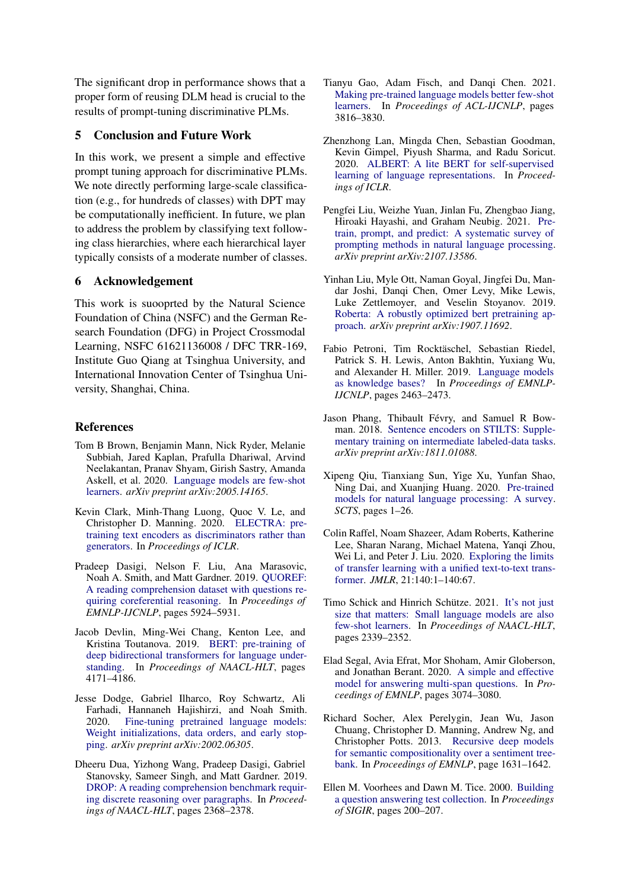The significant drop in performance shows that a proper form of reusing DLM head is crucial to the results of prompt-tuning discriminative PLMs.

# 5 Conclusion and Future Work

In this work, we present a simple and effective prompt tuning approach for discriminative PLMs. We note directly performing large-scale classification (e.g., for hundreds of classes) with DPT may be computationally inefficient. In future, we plan to address the problem by classifying text following class hierarchies, where each hierarchical layer typically consists of a moderate number of classes.

# 6 Acknowledgement

This work is suooprted by the Natural Science Foundation of China (NSFC) and the German Research Foundation (DFG) in Project Crossmodal Learning, NSFC 61621136008 / DFC TRR-169, Institute Guo Qiang at Tsinghua University, and International Innovation Center of Tsinghua University, Shanghai, China.

### **References**

- <span id="page-4-7"></span>Tom B Brown, Benjamin Mann, Nick Ryder, Melanie Subbiah, Jared Kaplan, Prafulla Dhariwal, Arvind Neelakantan, Pranav Shyam, Girish Sastry, Amanda Askell, et al. 2020. [Language models are few-shot](https://arxiv.org/abs/2005.14165) [learners.](https://arxiv.org/abs/2005.14165) *arXiv preprint arXiv:2005.14165*.
- <span id="page-4-1"></span>Kevin Clark, Minh-Thang Luong, Quoc V. Le, and Christopher D. Manning. 2020. [ELECTRA: pre](https://openreview.net/forum?id=r1xMH1BtvB)[training text encoders as discriminators rather than](https://openreview.net/forum?id=r1xMH1BtvB) [generators.](https://openreview.net/forum?id=r1xMH1BtvB) In *Proceedings of ICLR*.
- <span id="page-4-11"></span>Pradeep Dasigi, Nelson F. Liu, Ana Marasovic, Noah A. Smith, and Matt Gardner. 2019. [QUOREF:](https://doi.org/10.18653/v1/D19-1606) [A reading comprehension dataset with questions re](https://doi.org/10.18653/v1/D19-1606)[quiring coreferential reasoning.](https://doi.org/10.18653/v1/D19-1606) In *Proceedings of EMNLP-IJCNLP*, pages 5924–5931.
- <span id="page-4-0"></span>Jacob Devlin, Ming-Wei Chang, Kenton Lee, and Kristina Toutanova. 2019. [BERT: pre-training of](https://doi.org/10.18653/v1/n19-1423) [deep bidirectional transformers for language under](https://doi.org/10.18653/v1/n19-1423)[standing.](https://doi.org/10.18653/v1/n19-1423) In *Proceedings of NAACL-HLT*, pages 4171–4186.
- <span id="page-4-10"></span>Jesse Dodge, Gabriel Ilharco, Roy Schwartz, Ali Farhadi, Hannaneh Hajishirzi, and Noah Smith. 2020. [Fine-tuning pretrained language models:](https://arxiv.org/abs/2002.06305) [Weight initializations, data orders, and early stop](https://arxiv.org/abs/2002.06305)[ping.](https://arxiv.org/abs/2002.06305) *arXiv preprint arXiv:2002.06305*.
- <span id="page-4-12"></span>Dheeru Dua, Yizhong Wang, Pradeep Dasigi, Gabriel Stanovsky, Sameer Singh, and Matt Gardner. 2019. [DROP: A reading comprehension benchmark requir](https://doi.org/10.18653/v1/n19-1246)[ing discrete reasoning over paragraphs.](https://doi.org/10.18653/v1/n19-1246) In *Proceedings of NAACL-HLT*, pages 2368–2378.
- <span id="page-4-9"></span>Tianyu Gao, Adam Fisch, and Danqi Chen. 2021. [Making pre-trained language models better few-shot](https://doi.org/10.18653/v1/2021.acl-long.295) [learners.](https://doi.org/10.18653/v1/2021.acl-long.295) In *Proceedings of ACL-IJCNLP*, pages 3816–3830.
- <span id="page-4-2"></span>Zhenzhong Lan, Mingda Chen, Sebastian Goodman, Kevin Gimpel, Piyush Sharma, and Radu Soricut. 2020. [ALBERT: A lite BERT for self-supervised](https://openreview.net/forum?id=H1eA7AEtvS) [learning of language representations.](https://openreview.net/forum?id=H1eA7AEtvS) In *Proceedings of ICLR*.
- <span id="page-4-5"></span>Pengfei Liu, Weizhe Yuan, Jinlan Fu, Zhengbao Jiang, Hiroaki Hayashi, and Graham Neubig. 2021. [Pre](https://arxiv.org/abs/2107.13586)[train, prompt, and predict: A systematic survey of](https://arxiv.org/abs/2107.13586) [prompting methods in natural language processing.](https://arxiv.org/abs/2107.13586) *arXiv preprint arXiv:2107.13586*.
- <span id="page-4-14"></span>Yinhan Liu, Myle Ott, Naman Goyal, Jingfei Du, Mandar Joshi, Danqi Chen, Omer Levy, Mike Lewis, Luke Zettlemoyer, and Veselin Stoyanov. 2019. [Roberta: A robustly optimized bert pretraining ap](http://arxiv.org/abs/1907.11692)[proach.](http://arxiv.org/abs/1907.11692) *arXiv preprint arXiv:1907.11692*.
- <span id="page-4-6"></span>Fabio Petroni, Tim Rocktäschel, Sebastian Riedel, Patrick S. H. Lewis, Anton Bakhtin, Yuxiang Wu, and Alexander H. Miller. 2019. [Language models](https://doi.org/10.18653/v1/D19-1250) [as knowledge bases?](https://doi.org/10.18653/v1/D19-1250) In *Proceedings of EMNLP-IJCNLP*, pages 2463–2473.
- <span id="page-4-15"></span>Jason Phang, Thibault Févry, and Samuel R Bowman. 2018. [Sentence encoders on STILTS: Supple](http://arxiv.org/abs/1811.01088)[mentary training on intermediate labeled-data tasks.](http://arxiv.org/abs/1811.01088) *arXiv preprint arXiv:1811.01088*.
- <span id="page-4-4"></span>Xipeng Qiu, Tianxiang Sun, Yige Xu, Yunfan Shao, Ning Dai, and Xuanjing Huang. 2020. [Pre-trained](https://arxiv.org/abs/2003.08271) [models for natural language processing: A survey.](https://arxiv.org/abs/2003.08271) *SCTS*, pages 1–26.
- <span id="page-4-3"></span>Colin Raffel, Noam Shazeer, Adam Roberts, Katherine Lee, Sharan Narang, Michael Matena, Yanqi Zhou, Wei Li, and Peter J. Liu. 2020. [Exploring the limits](http://jmlr.org/papers/v21/20-074.html) [of transfer learning with a unified text-to-text trans](http://jmlr.org/papers/v21/20-074.html)[former.](http://jmlr.org/papers/v21/20-074.html) *JMLR*, 21:140:1–140:67.
- <span id="page-4-8"></span>Timo Schick and Hinrich Schütze. 2021. [It's not just](https://doi.org/10.18653/v1/2021.naacl-main.185) [size that matters: Small language models are also](https://doi.org/10.18653/v1/2021.naacl-main.185) [few-shot learners.](https://doi.org/10.18653/v1/2021.naacl-main.185) In *Proceedings of NAACL-HLT*, pages 2339–2352.
- <span id="page-4-13"></span>Elad Segal, Avia Efrat, Mor Shoham, Amir Globerson, and Jonathan Berant. 2020. [A simple and effective](https://doi.org/10.18653/v1/2020.emnlp-main.248) [model for answering multi-span questions.](https://doi.org/10.18653/v1/2020.emnlp-main.248) In *Proceedings of EMNLP*, pages 3074–3080.
- <span id="page-4-16"></span>Richard Socher, Alex Perelygin, Jean Wu, Jason Chuang, Christopher D. Manning, Andrew Ng, and Christopher Potts. 2013. [Recursive deep models](https://www.aclweb.org/anthology/D13-1170) [for semantic compositionality over a sentiment tree](https://www.aclweb.org/anthology/D13-1170)[bank.](https://www.aclweb.org/anthology/D13-1170) In *Proceedings of EMNLP*, page 1631–1642.
- <span id="page-4-17"></span>Ellen M. Voorhees and Dawn M. Tice. 2000. [Building](https://doi.org/10.1145/345508.345577) [a question answering test collection.](https://doi.org/10.1145/345508.345577) In *Proceedings of SIGIR*, pages 200–207.